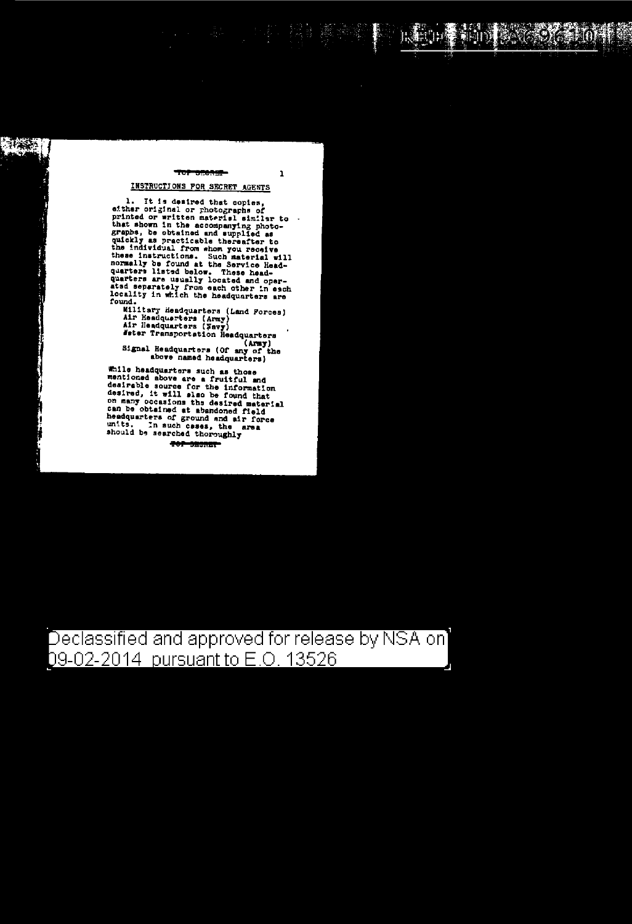### لمستعد

 $\overline{ }$ 

-72

# **INSTRUCTIONS FOR SECRET AGENTS**

MSINUCITURES THE SEALEMENT SEARCH AND THE ISLAMIC CORRECTED STATE OF STATE OF STATE OF THE SEARCH OF THE STATE OF STATE OF STATE OF STATE OF STATE OF STATE OF STATE OF STATE OF STATE OF STATE OF STATE OF STATE OF STATE OF

Nocality in which the measurement<br>found.<br>Military Headquarters (Land Porces)<br>Air Headquarters (Army)<br>After Transportation Headquarters<br>Signal Headquarters (Of any of the<br>above named headquarters)<br>above named headquarters

While headquarters such a sthose weaker<br>method above are a fruitful and method above are a fruitful and<br>desired, it will slap be found that<br>desired, it will slap be found that<br>commany occasions the desired material<br>headqua **TOP SECRET** 

Declassified and approved for release by NSA on 09-02-2014 pursuant to E.O. 13526

٠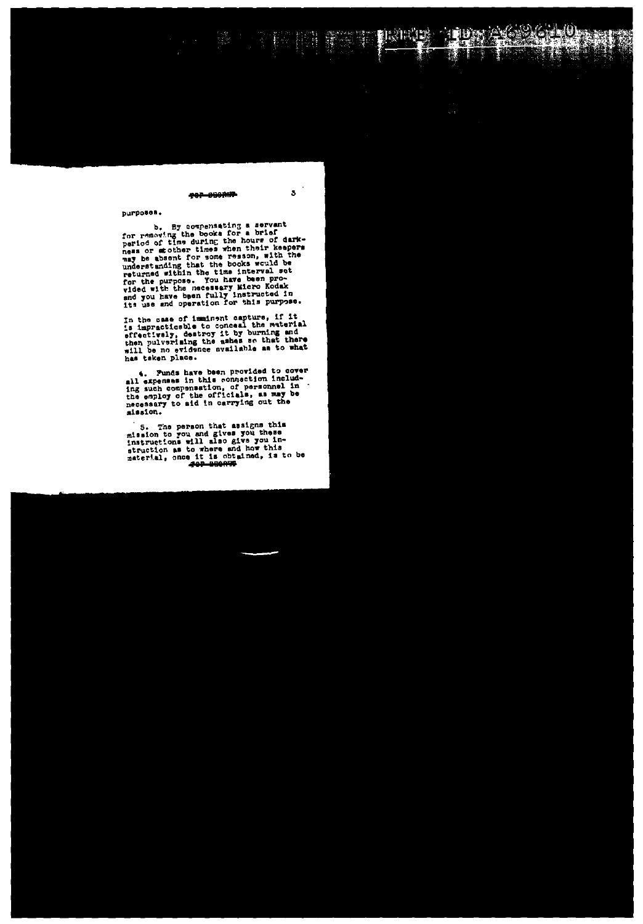#### 402-000 NH

 $\mathbf{A}$ 

**DARTE** 

فيبر TURN

#### purposes.

purposes.<br>
for ranaving the books for a brief<br>
for ranaving the books for a brief<br>
for ranaving the books for a brief<br>
ness or stocher times when their keepers<br>
may be absent for some resson, with the<br>
resurned within the

In the case of imminent capture, if it is ingracticeble to conceal the material of a<br>sfectively, destroy it by burning and<br>then pulverising the sakes so that there<br>will be no evidence available as to what<br>has teken place.

4. Funds have been provided to cover<br>all expenses in this connection includ-<br>ing such compensation, of personnel in<br>the enploy of the officials, as may be<br>necessary to aid in carrying out the<br>essence to the control in carr sission.

5. The person that assigns this<br>mission to you and gives you these<br>instructions to where and how this<br>struction as to where and how this<br>saterial, once it is obtained, is to be<br>material, once  $\frac{400 \text{ rad} \cdot 600 \text{ rad}}{400 \text$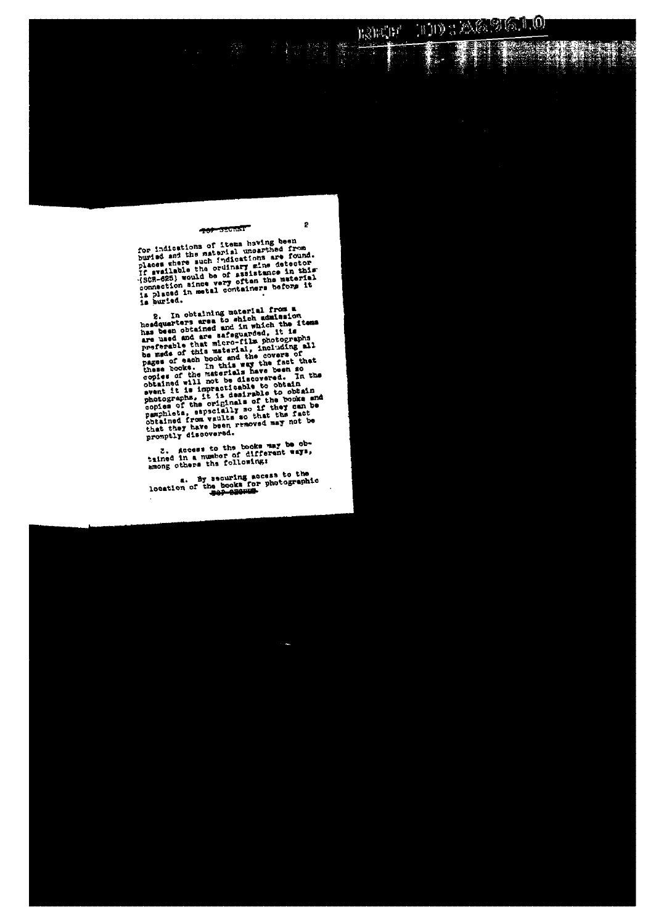# **207-350msT**

**TODEA&SALO** 

**FAI** 

Tanta

ngnajn<sup>a</sup>

麻腐

 $\bullet$ 

for indications of items having been<br>buried and the ends of items having been<br>places where such indications are found.<br>places where such indications are founded<br>is defined by a strain the main state of the state in this<br>co

is buried.<br>
2. In obtaining moterial from a complete the solution of the site of the site of the site of the site of the site of the site and are along the site of this are the site of this method of this moterial photogr

3. Access to the books way be ob-<br>tained in a number of different ways,<br>mmong others the following:

a. By securing access to the<br>location of the books for photographic<br>.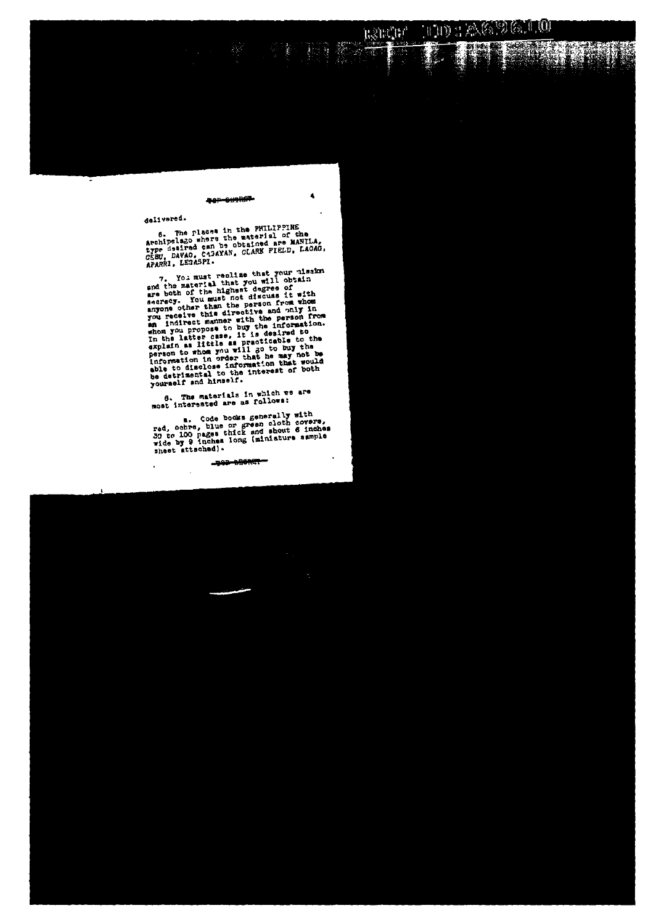## **Agn CHANCH**

 $\ddot{\phantom{a}}$ 

TO : AGPGIIO

ALLE CONTROL

ngudur

i.

### delivered.

 $\ddot{\phantom{a}}$ 

6. The places in the PHILIPPINE<br>Archipelago where the material of the<br>type desired can be obtained are MANILA,<br>CEEU, DAVAO, C43AYAN, CLARK PIELD, LAOAO,<br>APARRI, LEGASPI.

APARNI, LEGIAPI.<br>
7. You must realize that you will obtain<br>
and the material that you will obtain<br>
are both of the highest degree of<br>
sacrescy. You must not discuss it with<br>
sacrescy. You must not discuss it with<br>
sacrescy

S. The materials in which we are<br>most interested are as follows:

a. Code books generally with<br>red, ochre, blue or green cloth covers.<br>30 to 100 pages thick and shout 6 inches<br>wide by 9 inches long (miniature sample<br>sheet attsched).

**1242-00007**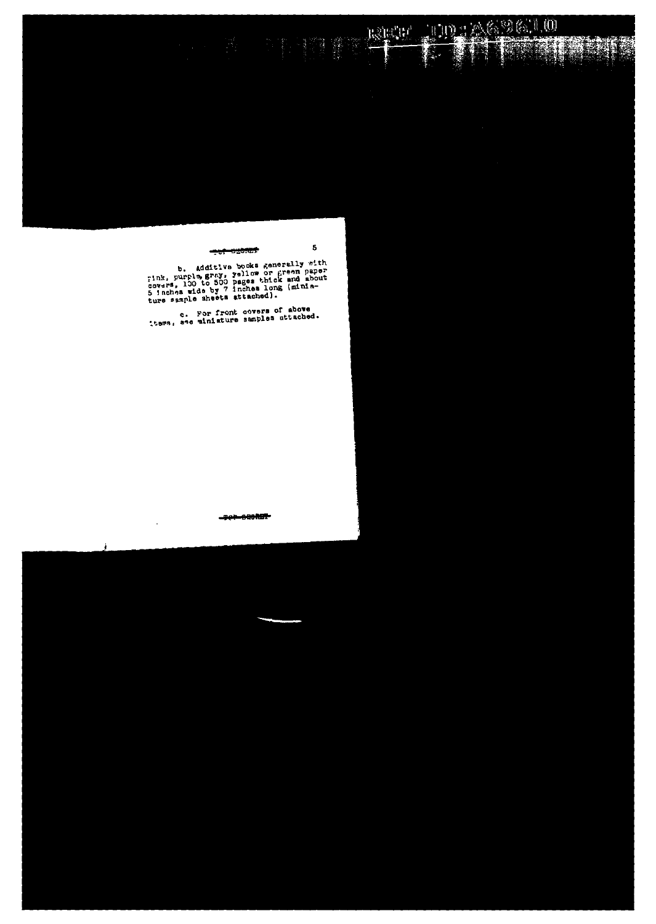#### $-47 - 0.0707$

 $\overline{\mathbf{5}}$ 

THE AGSGIO

 $\lim_{n\to\infty}\lim_{n\to\infty}|\mathcal{H}|$ 

b. Additive books generally with<br>Tink, purple, gray, yellow or green paper<br>covers, 100 to 500 pages thick and about<br>5 inches side by 7 inches long (minia-<br>ture sample sheets attached).

c. For front covers of above<br>tems, see miniature samples uttached.

**DAY-000RET** 

i.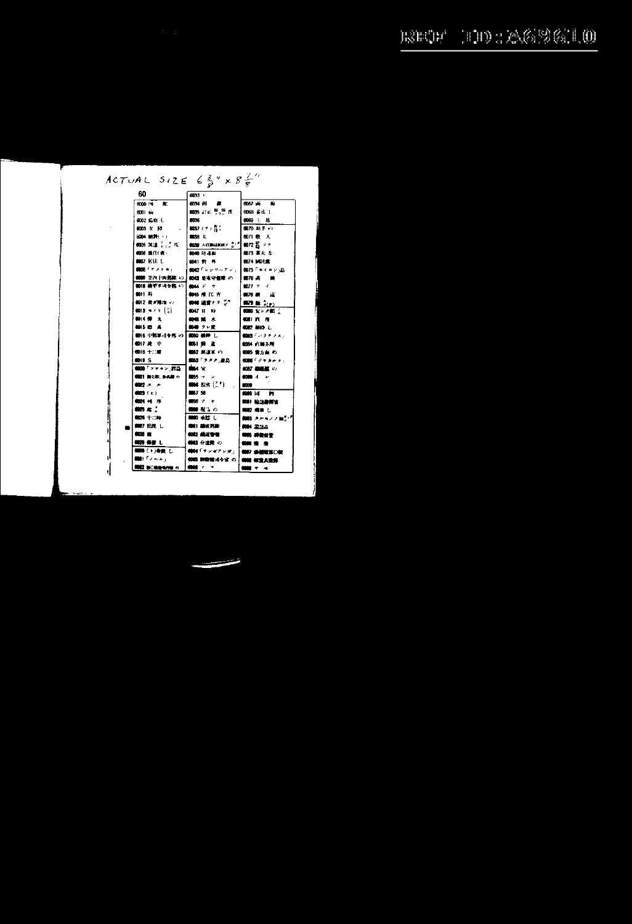| ACTUAL SIZE $6\frac{3}{8}$ <sup>"</sup> $\times$ $8\frac{7}{8}$ " |                               |                        |
|-------------------------------------------------------------------|-------------------------------|------------------------|
| 60                                                                | <b>FD33 +</b>                 |                        |
| 6000 M<br>m.                                                      | 8034 M<br>Ξ                   | 8067 W<br>鸙            |
| 8001 Gi                                                           | 8035 JTE 전 면 B                | 6088 百选 !              |
| <b>0002 GB L</b>                                                  | 8035                          | 6069 主 塩               |
| 6008 K RF                                                         | -   1057(ナ) 落り                | 6070 功 F vi            |
| <b>HODA BRING - 1</b>                                             | l mas a                       | 6071 收 入               |
| 6005 英建 T. L 枚                                                    | 6009 ∧панин≁ ; " 6072 Ё ッチ    |                        |
| <b>朝16 後任(者)</b>                                                  | 6040 防護師                      | 0073 甚大 な              |
| <b>MAY KG L</b>                                                   | іюни ≄н н                     | і воч масш             |
| $1000$ $T > 0.000$                                                | │6042「ヒンツーアン」 │6075 『セイロン』Q   |                        |
| 9888 第四十四郎隊 の【6043 北宋守備隊 の                                        |                               | 1076 点                 |
| 0010 検甲字可全部 の「                                                    | 0.4117                        | <b>M377 9</b>          |
| <b>8011 AL</b>                                                    | 朝杨 楠 江 省                      | تسععدها                |
| 6012 我が降地 v)                                                      | 6006 通貨ナップ*                   | ieus as Scro           |
| 0013 - 기도 (음)                                                     | <b>COAZ IT BS</b>             | 6000 安レア郎 2            |
| ● 14 ■ 1.                                                         | 10名 減 太                       | <b>4081 YL 76</b>      |
| <b>4015 ZJ A</b>                                                  | 鶴峰 ラレ皮                        | <b>GOD2 8849 L.</b>    |
| 朝16 中部車司を落つ   前50 被弾 し                                            |                               | 朝鮮「バラナノス」              |
| 1917 歳 中                                                          | <b>第61 前 读</b>                | 4084 八條各所              |
| 4018 十二年                                                          | 酸記 実注(にい)                     | 眼筋 音方面 の               |
| <b>COID</b> S                                                     | <b>BSS 777 BC</b>             | │60歳「ジヤカルタ」            |
| 6000 ソフェン 群島                                                      | des or                        | 6087 单重框 V)            |
| 朝鮮 自之歌 少夫郎 っ                                                      | → ∞ 1005                      | <b>SORA</b> A          |
| $m2 -$                                                            | $1006$ Kits $(2, 1)$          | 1 6089                 |
| 000(x)                                                            | 887 58                        | <b>BOARD 64</b>        |
| <b>BOX 15 IS</b>                                                  | ●第 ッ ヶ                        | 0001 00:00:00:00       |
| $00x$ $\sim$ $\cdot$                                              | ● 現在の                         | <b>1002 飛車 し</b>       |
| 825 1:30                                                          | <b>BBD 未起 U</b>               | 開始 メルモノノ加たく            |
| <b>BOY HAT I.</b>                                                 | <b>前向 新皮製業</b>                | <b>COM 32:32.</b>      |
| . .                                                               | <b><i><u>OIL EXTR</u></i></b> | <b>1865 JANE 15 W.</b> |
| 偶数 長音 し                                                           | ■韓 分流量 の                      | $\mathbf{m}$           |
| <b>DI ( + ) DI EL</b>                                             | 朝鮮「ナンボアンダ」                    | 第17 美国電気介護             |
| ■計「ノート」                                                           | 4005 防衛徒4々官 の【機関 無意具強索        |                        |
| <b>12 scessmen</b>                                                | <b>COL 7</b>                  | $\frac{1}{2}$          |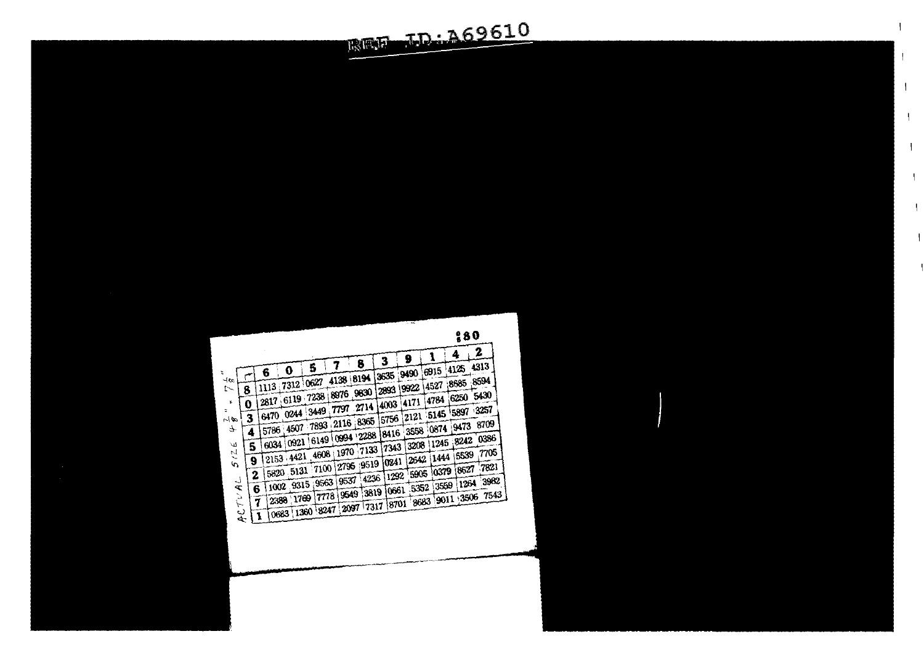

**RED-ID:269610**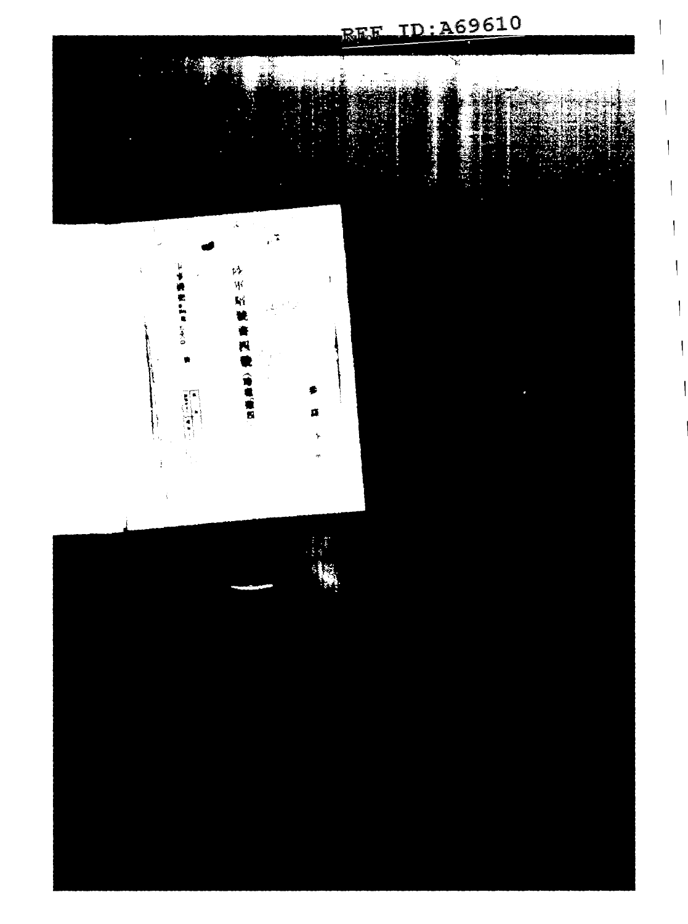